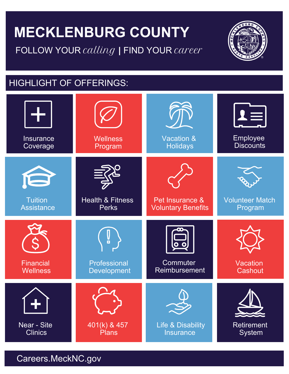# **MECKLENBURG COUNTY**  FOLLOW YOUR calling *|* FIND YOUR career



## HIGHLIGHT OF OFFERINGS:



Careers.MeckNC.gov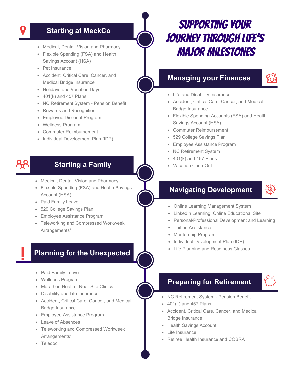- 
- Flexible Spending (FSA) and Health Savings Account (HSA)
- Pet Insurance
- Accident, Critical Care, Cancer, and Medical Bridge Insurance
- Holidays and Vacation Days
- $\bullet$  401(k) and 457 Plans
- NC Retirement System Pension Benefit
- Rewards and Recognition
- Employee Discount Program  $\bullet$
- Wellness Program
- Commuter Reimbursement
- Individual Development Plan (IDP)

### **Starting a Family**

- Medical, Dental, Vision and Pharmacy
- Flexible Spending (FSA) and Health Savings Account (HSA)
- Paid Family Leave
- 529 College Savings Plan
- Employee Assistance Program
- Teleworking and Compressed Workweek Arrangements\*

### **Planning for the Unexpected**

- Paid Family Leave
- Wellness Program
- Marathon Health Near Site Clinics
- Disability and Life Insurance
- Accident, Critical Care, Cancer, and Medical Bridge Insurance
- Employee Assistance Program
- Leave of Absences
- Teleworking and Compressed Workweek Arrangements\*
- Teledoc

# Starting at MeckCo **SUPPORTING YOUR** journey through life's • Medical, Dental, Vision and Pharmacy<br>• Flexible Spending (FSA) and Health **MAJOR MILESTONES**

### **Managing your Finances**

- Life and Disability Insurance
- Accident, Critical Care, Cancer, and Medical Bridge Insurance
- Flexible Spending Accounts (FSA) and Health Savings Account (HSA)
- Commuter Reimbursement
- 529 College Savings Plan
- Employee Assistance Program
- NC Retirement System
- 401(k) and 457 Plans
- Vacation Cash-Out

### **Navigating Development**



- Online Learning Management System
- LinkedIn Learning; Online Educational Site
- Personal/Professional Development and Learning
- Tuition Assistance
- Mentorship Program
- Individual Development Plan (IDP)
- Life Planning and Readiness Classes

### **Preparing for Retirement**

- NC Retirement System Pension Benefit
- $\bullet$  401(k) and 457 Plans
- Accident, Critical Care, Cancer, and Medical Bridge Insurance
- Health Savings Account
- Life Insurance
- Retiree Health Insurance and COBRA